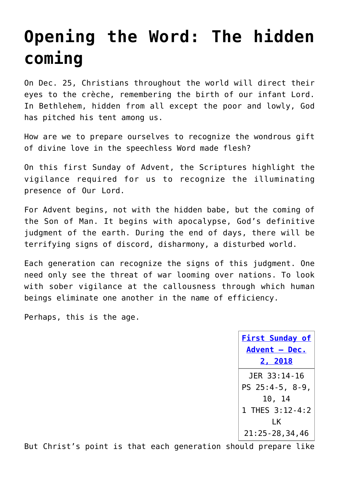## **[Opening the Word: The hidden](https://www.osvnews.com/2018/11/26/opening-the-word-the-hidden-coming/) [coming](https://www.osvnews.com/2018/11/26/opening-the-word-the-hidden-coming/)**

On Dec. 25, Christians throughout the world will direct their eyes to the crèche, remembering the birth of our infant Lord. In Bethlehem, hidden from all except the poor and lowly, God has pitched his tent among us.

How are we to prepare ourselves to recognize the wondrous gift of divine love in the speechless Word made flesh?

On this first Sunday of Advent, the Scriptures highlight the vigilance required for us to recognize the illuminating presence of Our Lord.

For Advent begins, not with the hidden babe, but the coming of the Son of Man. It begins with apocalypse, God's definitive judgment of the earth. During the end of days, there will be terrifying signs of discord, disharmony, a disturbed world.

Each generation can recognize the signs of this judgment. One need only see the threat of war looming over nations. To look with sober vigilance at the callousness through which human beings eliminate one another in the name of efficiency.

Perhaps, this is the age.

**[First Sunday of](http://www.usccb.org/bible/readings/120218.cfm) [Advent – Dec.](http://www.usccb.org/bible/readings/120218.cfm) [2, 2018](http://www.usccb.org/bible/readings/120218.cfm)** JER 33:14-16 PS 25:4-5, 8-9, 10, 14 1 THES 3:12-4:2 LK 21:25-28,34,46

But Christ's point is that each generation should prepare like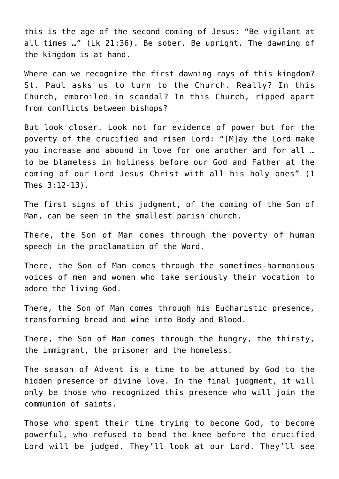this is the age of the second coming of Jesus: "Be vigilant at all times …" (Lk 21:36). Be sober. Be upright. The dawning of the kingdom is at hand.

Where can we recognize the first dawning rays of this kingdom? St. Paul asks us to turn to the Church. Really? In this Church, embroiled in scandal? In this Church, ripped apart from conflicts between bishops?

But look closer. Look not for evidence of power but for the poverty of the crucified and risen Lord: "[M]ay the Lord make you increase and abound in love for one another and for all … to be blameless in holiness before our God and Father at the coming of our Lord Jesus Christ with all his holy ones" (1 Thes 3:12-13).

The first signs of this judgment, of the coming of the Son of Man, can be seen in the smallest parish church.

There, the Son of Man comes through the poverty of human speech in the proclamation of the Word.

There, the Son of Man comes through the sometimes-harmonious voices of men and women who take seriously their vocation to adore the living God.

There, the Son of Man comes through his Eucharistic presence, transforming bread and wine into Body and Blood.

There, the Son of Man comes through the hungry, the thirsty, the immigrant, the prisoner and the homeless.

The season of Advent is a time to be attuned by God to the hidden presence of divine love. In the final judgment, it will only be those who recognized this presence who will join the communion of saints.

Those who spent their time trying to become God, to become powerful, who refused to bend the knee before the crucified Lord will be judged. They'll look at our Lord. They'll see